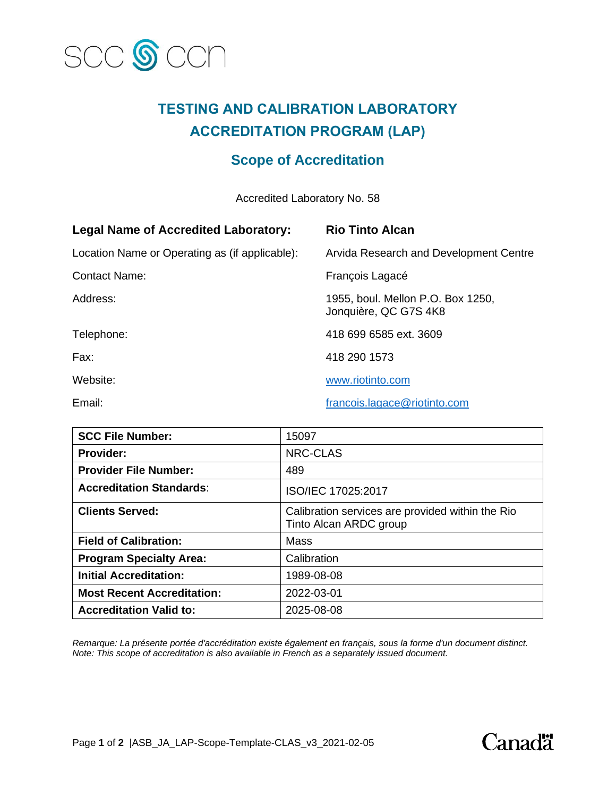

## **TESTING AND CALIBRATION LABORATORY ACCREDITATION PROGRAM (LAP)**

## **Scope of Accreditation**

Accredited Laboratory No. 58

| <b>Legal Name of Accredited Laboratory:</b>    | <b>Rio Tinto Alcan</b>                                     |
|------------------------------------------------|------------------------------------------------------------|
| Location Name or Operating as (if applicable): | Arvida Research and Development Centre                     |
| <b>Contact Name:</b>                           | François Lagacé                                            |
| Address:                                       | 1955, boul. Mellon P.O. Box 1250,<br>Jonquière, QC G7S 4K8 |
| Telephone:                                     | 418 699 6585 ext. 3609                                     |
| Fax:                                           | 418 290 1573                                               |
| Website:                                       | www.riotinto.com                                           |
| Email:                                         | francois.lagace@riotinto.com                               |

| <b>SCC File Number:</b>           | 15097                                                                      |
|-----------------------------------|----------------------------------------------------------------------------|
| <b>Provider:</b>                  | NRC-CLAS                                                                   |
| <b>Provider File Number:</b>      | 489                                                                        |
| <b>Accreditation Standards:</b>   | ISO/IEC 17025:2017                                                         |
| <b>Clients Served:</b>            | Calibration services are provided within the Rio<br>Tinto Alcan ARDC group |
| <b>Field of Calibration:</b>      | Mass                                                                       |
| <b>Program Specialty Area:</b>    | Calibration                                                                |
| <b>Initial Accreditation:</b>     | 1989-08-08                                                                 |
| <b>Most Recent Accreditation:</b> | 2022-03-01                                                                 |
| <b>Accreditation Valid to:</b>    | 2025-08-08                                                                 |

*Remarque: La présente portée d'accréditation existe également en français, sous la forme d'un document distinct. Note: This scope of accreditation is also available in French as a separately issued document.*